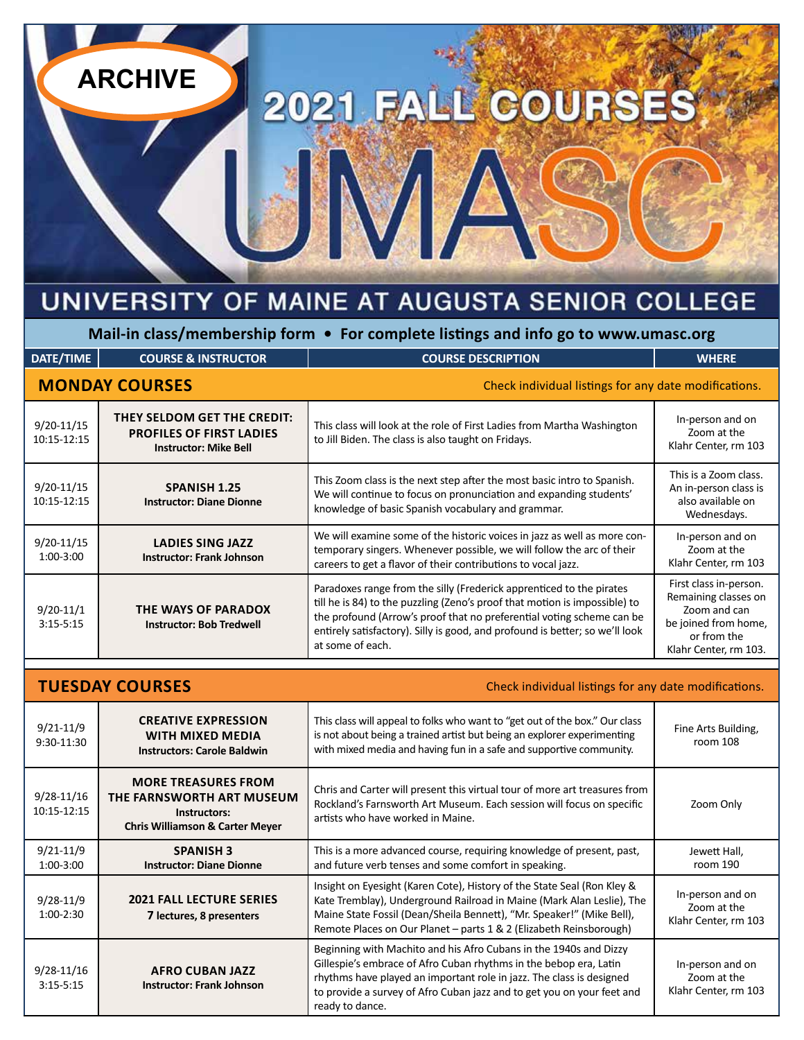# UNIVERSITY OF MAINE AT AUGUSTA SENIOR COLLEGE

JM/

2021 FALL COURSES

**ARCHIVE**

**Mail-in class/membership form • For complete listings and info go to www.umasc.org**

| DATE/TIME                     | <b>COURSE &amp; INSTRUCTOR</b>                                                                 | <b>COURSE DESCRIPTION</b>                                                                                                                                                                                                                                                                                                       | <b>WHERE</b>                                                                                                                   |
|-------------------------------|------------------------------------------------------------------------------------------------|---------------------------------------------------------------------------------------------------------------------------------------------------------------------------------------------------------------------------------------------------------------------------------------------------------------------------------|--------------------------------------------------------------------------------------------------------------------------------|
|                               | <b>MONDAY COURSES</b>                                                                          | Check individual listings for any date modifications.                                                                                                                                                                                                                                                                           |                                                                                                                                |
| $9/20 - 11/15$<br>10:15-12:15 | THEY SELDOM GET THE CREDIT:<br><b>PROFILES OF FIRST LADIES</b><br><b>Instructor: Mike Bell</b> | This class will look at the role of First Ladies from Martha Washington<br>to Jill Biden. The class is also taught on Fridays.                                                                                                                                                                                                  | In-person and on<br>Zoom at the<br>Klahr Center, rm 103                                                                        |
| $9/20 - 11/15$<br>10:15-12:15 | <b>SPANISH 1.25</b><br><b>Instructor: Diane Dionne</b>                                         | This Zoom class is the next step after the most basic intro to Spanish.<br>We will continue to focus on pronunciation and expanding students'<br>knowledge of basic Spanish vocabulary and grammar.                                                                                                                             | This is a Zoom class.<br>An in-person class is<br>also available on<br>Wednesdays.                                             |
| $9/20 - 11/15$<br>1:00-3:00   | LADIES SING JAZZ<br><b>Instructor: Frank Johnson</b>                                           | We will examine some of the historic voices in jazz as well as more con-<br>temporary singers. Whenever possible, we will follow the arc of their<br>careers to get a flavor of their contributions to vocal jazz.                                                                                                              | In-person and on<br>Zoom at the<br>Klahr Center, rm 103                                                                        |
| $9/20-11/1$<br>$3:15 - 5:15$  | THE WAYS OF PARADOX<br><b>Instructor: Bob Tredwell</b>                                         | Paradoxes range from the silly (Frederick apprenticed to the pirates<br>till he is 84) to the puzzling (Zeno's proof that motion is impossible) to<br>the profound (Arrow's proof that no preferential voting scheme can be<br>entirely satisfactory). Silly is good, and profound is better; so we'll look<br>at some of each. | First class in-person.<br>Remaining classes on<br>Zoom and can<br>be joined from home,<br>or from the<br>Klahr Center, rm 103. |
|                               |                                                                                                |                                                                                                                                                                                                                                                                                                                                 |                                                                                                                                |

| <b>TUESDAY COURSES</b><br>Check individual listings for any date modifications. |                                                                                                                       |                                                                                                                                                                                                                                                                                                             |                                                         |
|---------------------------------------------------------------------------------|-----------------------------------------------------------------------------------------------------------------------|-------------------------------------------------------------------------------------------------------------------------------------------------------------------------------------------------------------------------------------------------------------------------------------------------------------|---------------------------------------------------------|
| $9/21 - 11/9$<br>9:30-11:30                                                     | <b>CREATIVE EXPRESSION</b><br><b>WITH MIXED MEDIA</b><br><b>Instructors: Carole Baldwin</b>                           | This class will appeal to folks who want to "get out of the box." Our class<br>is not about being a trained artist but being an explorer experimenting<br>with mixed media and having fun in a safe and supportive community.                                                                               | Fine Arts Building,<br>room 108                         |
| $9/28 - 11/16$<br>10:15-12:15                                                   | <b>MORE TREASURES FROM</b><br>THE FARNSWORTH ART MUSEUM<br>Instructors:<br><b>Chris Williamson &amp; Carter Meyer</b> | Chris and Carter will present this virtual tour of more art treasures from<br>Rockland's Farnsworth Art Museum. Each session will focus on specific<br>artists who have worked in Maine.                                                                                                                    | Zoom Only                                               |
| $9/21 - 11/9$<br>1:00-3:00                                                      | <b>SPANISH 3</b><br><b>Instructor: Diane Dionne</b>                                                                   | This is a more advanced course, requiring knowledge of present, past,<br>and future verb tenses and some comfort in speaking.                                                                                                                                                                               | Jewett Hall,<br>room 190                                |
| $9/28 - 11/9$<br>$1:00-2:30$                                                    | <b>2021 FALL LECTURE SERIES</b><br>7 lectures, 8 presenters                                                           | Insight on Eyesight (Karen Cote), History of the State Seal (Ron Kley &<br>Kate Tremblay), Underground Railroad in Maine (Mark Alan Leslie), The<br>Maine State Fossil (Dean/Sheila Bennett), "Mr. Speaker!" (Mike Bell),<br>Remote Places on Our Planet - parts 1 & 2 (Elizabeth Reinsborough)             | In-person and on<br>Zoom at the<br>Klahr Center, rm 103 |
| $9/28 - 11/16$<br>$3:15 - 5:15$                                                 | <b>AFRO CUBAN JAZZ</b><br><b>Instructor: Frank Johnson</b>                                                            | Beginning with Machito and his Afro Cubans in the 1940s and Dizzy<br>Gillespie's embrace of Afro Cuban rhythms in the bebop era, Latin<br>rhythms have played an important role in jazz. The class is designed<br>to provide a survey of Afro Cuban jazz and to get you on your feet and<br>ready to dance. | In-person and on<br>Zoom at the<br>Klahr Center, rm 103 |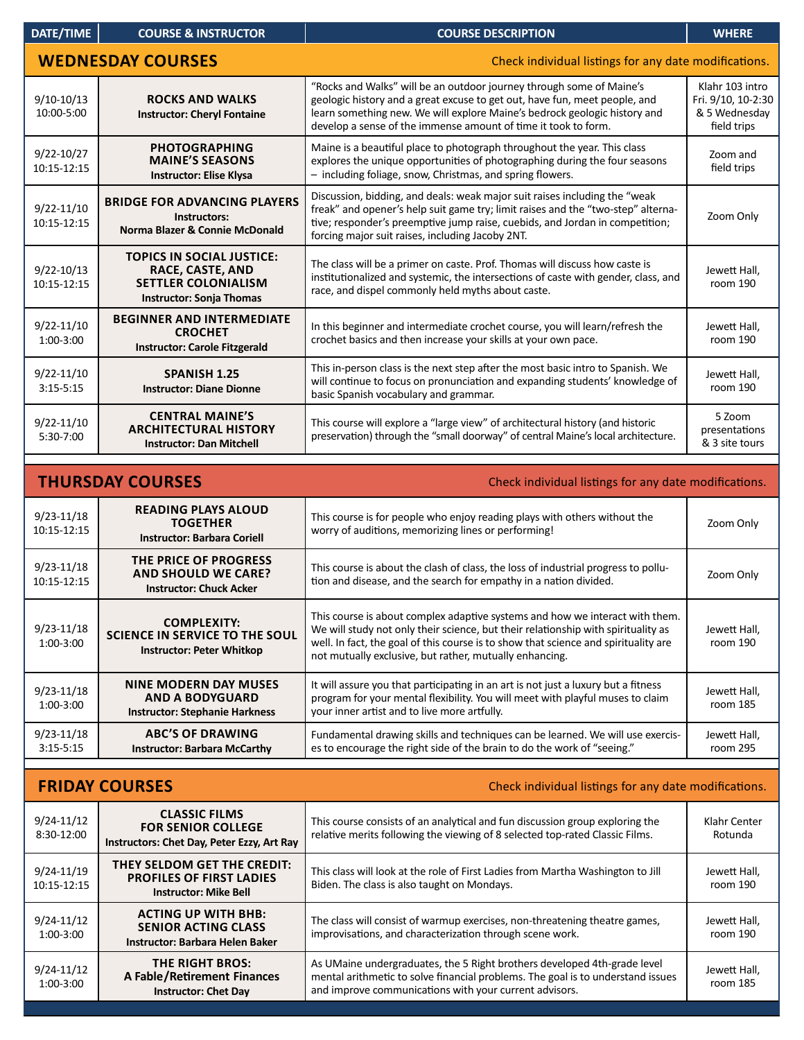| DATE/TIME                                                                         | <b>COURSE &amp; INSTRUCTOR</b>                                                                                        | <b>COURSE DESCRIPTION</b>                                                                                                                                                                                                                                                                          | <b>WHERE</b>                                                          |  |
|-----------------------------------------------------------------------------------|-----------------------------------------------------------------------------------------------------------------------|----------------------------------------------------------------------------------------------------------------------------------------------------------------------------------------------------------------------------------------------------------------------------------------------------|-----------------------------------------------------------------------|--|
| <b>WEDNESDAY COURSES</b><br>Check individual listings for any date modifications. |                                                                                                                       |                                                                                                                                                                                                                                                                                                    |                                                                       |  |
| $9/10-10/13$<br>10:00-5:00                                                        | <b>ROCKS AND WALKS</b><br><b>Instructor: Cheryl Fontaine</b>                                                          | "Rocks and Walks" will be an outdoor journey through some of Maine's<br>geologic history and a great excuse to get out, have fun, meet people, and<br>learn something new. We will explore Maine's bedrock geologic history and<br>develop a sense of the immense amount of time it took to form.  | Klahr 103 intro<br>Fri. 9/10, 10-2:30<br>& 5 Wednesday<br>field trips |  |
| 9/22-10/27<br>10:15-12:15                                                         | <b>PHOTOGRAPHING</b><br><b>MAINE'S SEASONS</b><br><b>Instructor: Elise Klysa</b>                                      | Maine is a beautiful place to photograph throughout the year. This class<br>explores the unique opportunities of photographing during the four seasons<br>- including foliage, snow, Christmas, and spring flowers.                                                                                | Zoom and<br>field trips                                               |  |
| $9/22 - 11/10$<br>10:15-12:15                                                     | <b>BRIDGE FOR ADVANCING PLAYERS</b><br>Instructors:<br>Norma Blazer & Connie McDonald                                 | Discussion, bidding, and deals: weak major suit raises including the "weak<br>freak" and opener's help suit game try; limit raises and the "two-step" alterna-<br>tive; responder's preemptive jump raise, cuebids, and Jordan in competition;<br>forcing major suit raises, including Jacoby 2NT. | Zoom Only                                                             |  |
| $9/22 - 10/13$<br>10:15-12:15                                                     | <b>TOPICS IN SOCIAL JUSTICE:</b><br>RACE, CASTE, AND<br><b>SETTLER COLONIALISM</b><br><b>Instructor: Sonja Thomas</b> | The class will be a primer on caste. Prof. Thomas will discuss how caste is<br>institutionalized and systemic, the intersections of caste with gender, class, and<br>race, and dispel commonly held myths about caste.                                                                             | Jewett Hall,<br>room 190                                              |  |
| $9/22 - 11/10$<br>1:00-3:00                                                       | <b>BEGINNER AND INTERMEDIATE</b><br><b>CROCHET</b><br><b>Instructor: Carole Fitzgerald</b>                            | In this beginner and intermediate crochet course, you will learn/refresh the<br>crochet basics and then increase your skills at your own pace.                                                                                                                                                     | Jewett Hall,<br>room 190                                              |  |
| $9/22 - 11/10$<br>$3:15 - 5:15$                                                   | <b>SPANISH 1.25</b><br><b>Instructor: Diane Dionne</b>                                                                | This in-person class is the next step after the most basic intro to Spanish. We<br>will continue to focus on pronunciation and expanding students' knowledge of<br>basic Spanish vocabulary and grammar.                                                                                           | Jewett Hall,<br>room 190                                              |  |
| $9/22 - 11/10$<br>5:30-7:00                                                       | <b>CENTRAL MAINE'S</b><br><b>ARCHITECTURAL HISTORY</b><br><b>Instructor: Dan Mitchell</b>                             | This course will explore a "large view" of architectural history (and historic<br>preservation) through the "small doorway" of central Maine's local architecture.                                                                                                                                 | 5 Zoom<br>presentations<br>& 3 site tours                             |  |
| <b>THURSDAY COURSES</b><br>Check individual listings for any date modifications.  |                                                                                                                       |                                                                                                                                                                                                                                                                                                    |                                                                       |  |
|                                                                                   |                                                                                                                       |                                                                                                                                                                                                                                                                                                    |                                                                       |  |
| $9/23 - 11/18$<br>10:15-12:15                                                     | <b>READING PLAYS ALOUD</b><br><b>TOGETHER</b><br><b>Instructor: Barbara Coriell</b>                                   | This course is for people who enjoy reading plays with others without the<br>worry of auditions, memorizing lines or performing!                                                                                                                                                                   | Zoom Only                                                             |  |

| $9/23 - 11/18$<br>10:15-12:15   | THE PRICE OF PROGRESS<br><b>AND SHOULD WE CARE?</b><br><b>Instructor: Chuck Acker</b>           | This course is about the clash of class, the loss of industrial progress to pollu-<br>tion and disease, and the search for empathy in a nation divided.                                                                                                                                                             | Zoom Only                |
|---------------------------------|-------------------------------------------------------------------------------------------------|---------------------------------------------------------------------------------------------------------------------------------------------------------------------------------------------------------------------------------------------------------------------------------------------------------------------|--------------------------|
| 9/23-11/18<br>$1:00-3:00$       | <b>COMPLEXITY:</b><br><b>SCIENCE IN SERVICE TO THE SOUL</b><br><b>Instructor: Peter Whitkop</b> | This course is about complex adaptive systems and how we interact with them.<br>We will study not only their science, but their relationship with spirituality as<br>well. In fact, the goal of this course is to show that science and spirituality are<br>not mutually exclusive, but rather, mutually enhancing. | Jewett Hall,<br>room 190 |
| $9/23 - 11/18$<br>$1:00-3:00$   | <b>NINE MODERN DAY MUSES</b><br><b>AND A BODYGUARD</b><br><b>Instructor: Stephanie Harkness</b> | It will assure you that participating in an art is not just a luxury but a fitness<br>program for your mental flexibility. You will meet with playful muses to claim<br>your inner artist and to live more artfully.                                                                                                | Jewett Hall,<br>room 185 |
| $9/23 - 11/18$<br>$3:15 - 5:15$ | <b>ABC'S OF DRAWING</b><br><b>Instructor: Barbara McCarthy</b>                                  | Fundamental drawing skills and techniques can be learned. We will use exercis-<br>es to encourage the right side of the brain to do the work of "seeing."                                                                                                                                                           | Jewett Hall,<br>room 295 |

| <b>FRIDAY COURSES</b><br>Check individual listings for any date modifications. |                                                                                                 |                                                                                                                                                                                                                       |                          |
|--------------------------------------------------------------------------------|-------------------------------------------------------------------------------------------------|-----------------------------------------------------------------------------------------------------------------------------------------------------------------------------------------------------------------------|--------------------------|
| $9/24 - 11/12$<br>8:30-12:00                                                   | <b>CLASSIC FILMS</b><br><b>FOR SENIOR COLLEGE</b><br>Instructors: Chet Day, Peter Ezzy, Art Ray | This course consists of an analytical and fun discussion group exploring the<br>relative merits following the viewing of 8 selected top-rated Classic Films.                                                          | Klahr Center<br>Rotunda  |
| $9/24 - 11/19$<br>10:15-12:15                                                  | THEY SELDOM GET THE CREDIT:<br><b>PROFILES OF FIRST LADIES</b><br><b>Instructor: Mike Bell</b>  | This class will look at the role of First Ladies from Martha Washington to Jill<br>Biden. The class is also taught on Mondays.                                                                                        | Jewett Hall,<br>room 190 |
| $9/24 - 11/12$<br>1:00-3:00                                                    | <b>ACTING UP WITH BHB:</b><br><b>SENIOR ACTING CLASS</b><br>Instructor: Barbara Helen Baker     | The class will consist of warmup exercises, non-threatening theatre games,<br>improvisations, and characterization through scene work.                                                                                | Jewett Hall,<br>room 190 |
| $9/24 - 11/12$<br>$1:00-3:00$                                                  | THE RIGHT BROS:<br>A Fable/Retirement Finances<br><b>Instructor: Chet Day</b>                   | As UMaine undergraduates, the 5 Right brothers developed 4th-grade level<br>mental arithmetic to solve financial problems. The goal is to understand issues<br>and improve communications with your current advisors. | Jewett Hall,<br>room 185 |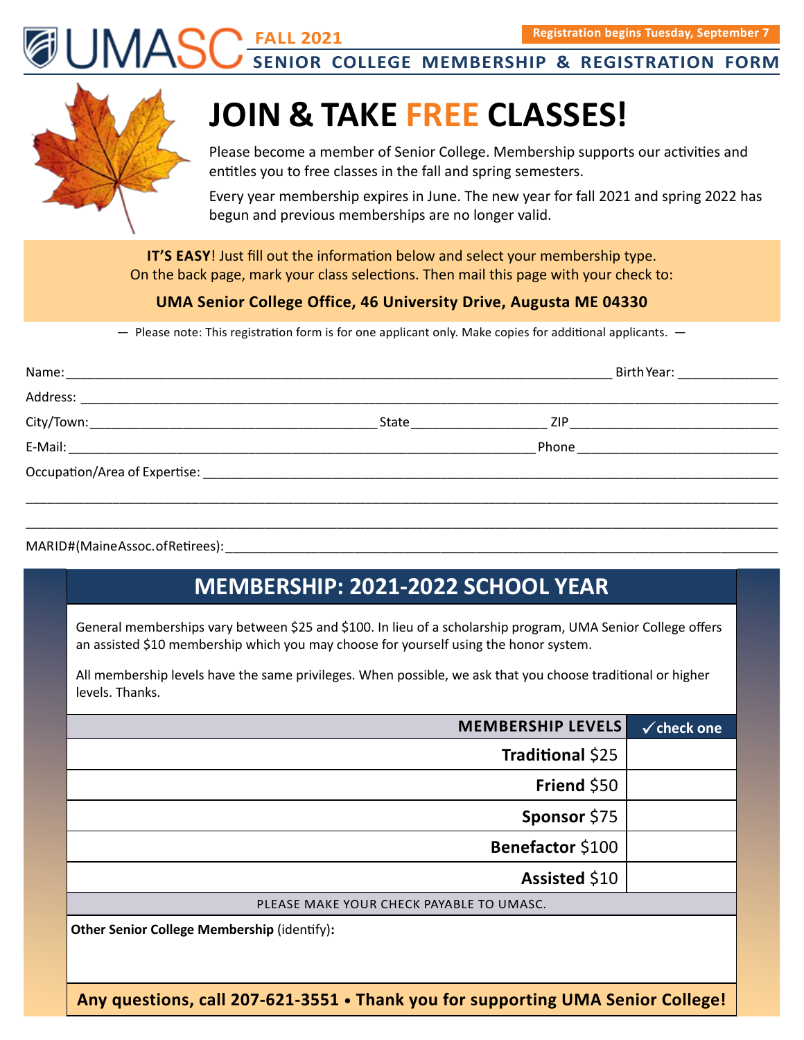**FALL 2021 SENIOR COLLEGE MEMBERSHIP & REGISTRATION FORM .Registration begins Tuesday, September 7.** 

# **JOIN & TAKE FREE CLASSES!**

Please become a member of Senior College. Membership supports our activities and entitles you to free classes in the fall and spring semesters.

Every year membership expires in June. The new year for fall 2021 and spring 2022 has begun and previous memberships are no longer valid.

**IT'S EASY**! Just fill out the information below and select your membership type. On the back page, mark your class selections. Then mail this page with your check to:

#### **UMA Senior College Office, 46 University Drive, Augusta ME 04330**

— Please note: This registration form is for one applicant only. Make copies for additional applicants. —

|                                                                                                                |                         | Birth Year: ______________ |
|----------------------------------------------------------------------------------------------------------------|-------------------------|----------------------------|
|                                                                                                                |                         |                            |
| State Parameters and the state of the state of the state of the state of the state of the state of the state o | <b>ZIP Example 2018</b> |                            |
|                                                                                                                |                         |                            |
|                                                                                                                |                         |                            |
|                                                                                                                |                         |                            |
|                                                                                                                |                         |                            |

#### MARID#(MaineAssoc.ofRetirees):

## **MEMBERSHIP: 2021-2022 SCHOOL YEAR**

General memberships vary between \$25 and \$100. In lieu of a scholarship program, UMA Senior College offers an assisted \$10 membership which you may choose for yourself using the honor system.

All membership levels have the same privileges. When possible, we ask that you choose traditional or higher levels. Thanks.

| <b>MEMBERSHIP LEVELS</b>                           | $\checkmark$ check one |
|----------------------------------------------------|------------------------|
| Traditional \$25                                   |                        |
| Friend \$50                                        |                        |
| Sponsor \$75                                       |                        |
| Benefactor \$100                                   |                        |
| Assisted \$10                                      |                        |
| PLEASE MAKE YOUR CHECK PAYABLE TO UMASC.           |                        |
| <b>Other Senior College Membership (identify):</b> |                        |

**Any questions, call 207-621-3551 • Thank you for supporting UMA Senior College!**